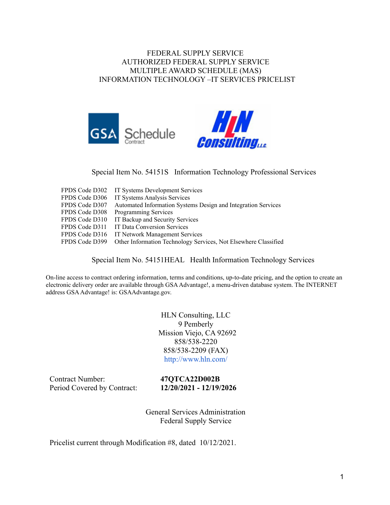#### FEDERAL SUPPLY SERVICE AUTHORIZED FEDERAL SUPPLY SERVICE MULTIPLE AWARD SCHEDULE (MAS) INFORMATION TECHNOLOGY –IT SERVICES PRICELIST





Special Item No. 54151S Information Technology Professional Services

| FPDS Code D302 | IT Systems Development Services                                 |
|----------------|-----------------------------------------------------------------|
| FPDS Code D306 | IT Systems Analysis Services                                    |
| FPDS Code D307 | Automated Information Systems Design and Integration Services   |
| FPDS Code D308 | <b>Programming Services</b>                                     |
| FPDS Code D310 | IT Backup and Security Services                                 |
| FPDS Code D311 | <b>IT Data Conversion Services</b>                              |
| FPDS Code D316 | IT Network Management Services                                  |
| FPDS Code D399 | Other Information Technology Services, Not Elsewhere Classified |
|                |                                                                 |

Special Item No. 54151HEAL Health Information Technology Services

On-line access to contract ordering information, terms and conditions, up-to-date pricing, and the option to create an electronic delivery order are available through GSAAdvantage!, a menu-driven database system. The INTERNET address GSAAdvantage! is: GSAAdvantage.gov.

> HLN Consulting, LLC 9 Pemberly Mission Viejo, CA 92692 858/538-2220 858/538-2209 (FAX) <http://www.hln.com/>

Contract Number: **47QTCA22D002B** Period Covered by Contract: **12/20/2021 - 12/19/2026**

General Services Administration Federal Supply Service

Pricelist current through Modification #8, dated 10/12/2021.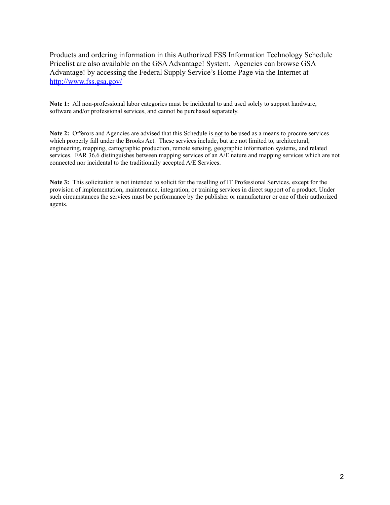Products and ordering information in this Authorized FSS Information Technology Schedule Pricelist are also available on the GSA Advantage! System. Agencies can browse G[SA](http://www.fss.gsa.gov/) Advantage! by accessing the Federal Supply Service's Home Page via the Internet at <http://www.fss.gsa.gov/>

**Note 1:** All non-professional labor categories must be incidental to and used solely to support hardware, software and/or professional services, and cannot be purchased separately.

**Note 2:** Offerors and Agencies are advised that this Schedule is not to be used as a means to procure services which properly fall under the Brooks Act. These services include, but are not limited to, architectural, engineering, mapping, cartographic production, remote sensing, geographic information systems, and related services. FAR 36.6 distinguishes between mapping services of an A/E nature and mapping services which are not connected nor incidental to the traditionally accepted A/E Services.

**Note 3:** This solicitation is not intended to solicit for the reselling of IT Professional Services, except for the provision of implementation, maintenance, integration, or training services in direct support of a product. Under such circumstances the services must be performance by the publisher or manufacturer or one of their authorized agents.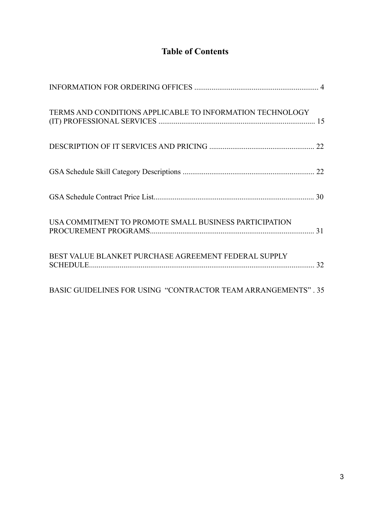# **Table of Contents**

| TERMS AND CONDITIONS APPLICABLE TO INFORMATION TECHNOLOGY     |  |
|---------------------------------------------------------------|--|
|                                                               |  |
|                                                               |  |
|                                                               |  |
| USA COMMITMENT TO PROMOTE SMALL BUSINESS PARTICIPATION        |  |
| BEST VALUE BLANKET PURCHASE AGREEMENT FEDERAL SUPPLY          |  |
| BASIC GUIDELINES FOR USING "CONTRACTOR TEAM ARRANGEMENTS". 35 |  |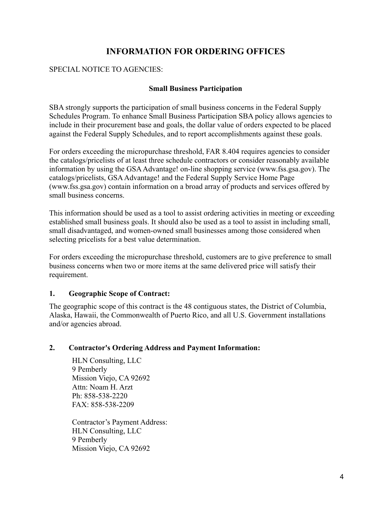# **INFORMATION FOR ORDERING OFFICES**

#### SPECIAL NOTICE TO AGENCIES:

#### **Small Business Participation**

SBA strongly supports the participation of small business concerns in the Federal Supply Schedules Program. To enhance Small Business Participation SBA policy allows agencies to include in their procurement base and goals, the dollar value of orders expected to be placed against the Federal Supply Schedules, and to report accomplishments against these goals.

For orders exceeding the micropurchase threshold, FAR 8.404 requires agencies to consider the catalogs/pricelists of at least three schedule contractors or consider reasonably available information by using the GSA Advantage! on-line shopping service (www.fss.gsa.gov). The catalogs/pricelists, GSA Advantage! and the Federal Supply Service Home Page (www.fss.gsa.gov) contain information on a broad array of products and services offered by small business concerns.

This information should be used as a tool to assist ordering activities in meeting or exceeding established small business goals. It should also be used as a tool to assist in including small, small disadvantaged, and women-owned small businesses among those considered when selecting pricelists for a best value determination.

For orders exceeding the micropurchase threshold, customers are to give preference to small business concerns when two or more items at the same delivered price will satisfy their requirement.

#### **1. Geographic Scope of Contract:**

The geographic scope of this contract is the 48 contiguous states, the District of Columbia, Alaska, Hawaii, the Commonwealth of Puerto Rico, and all U.S. Government installations and/or agencies abroad.

#### **2. Contractor's Ordering Address and Payment Information:**

HLN Consulting, LLC 9 Pemberly Mission Viejo, CA 92692 Attn: Noam H. Arzt Ph: 858-538-2220 FAX: 858-538-2209

Contractor's Payment Address: HLN Consulting, LLC 9 Pemberly Mission Viejo, CA 92692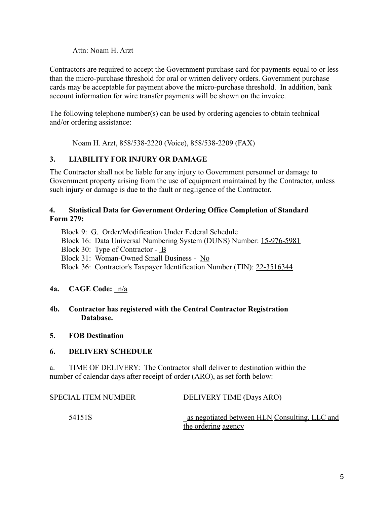Attn: Noam H. Arzt

Contractors are required to accept the Government purchase card for payments equal to or less than the micro-purchase threshold for oral or written delivery orders. Government purchase cards may be acceptable for payment above the micro-purchase threshold. In addition, bank account information for wire transfer payments will be shown on the invoice.

The following telephone number(s) can be used by ordering agencies to obtain technical and/or ordering assistance:

Noam H. Arzt, 858/538-2220 (Voice), 858/538-2209 (FAX)

## **3. LIABILITY FOR INJURY OR DAMAGE**

The Contractor shall not be liable for any injury to Government personnel or damage to Government property arising from the use of equipment maintained by the Contractor, unless such injury or damage is due to the fault or negligence of the Contractor.

#### **4. Statistical Data for Government Ordering Office Completion of Standard Form 279:**

Block 9: G. Order/Modification Under Federal Schedule

Block 16: Data Universal Numbering System (DUNS) Number: 15-976-5981

Block 30: Type of Contractor - B

Block 31: Woman-Owned Small Business - No

Block 36: Contractor's Taxpayer Identification Number (TIN): 22-3516344

## **4a. CAGE Code:** n/a

#### **4b. Contractor has registered with the Central Contractor Registration Database.**

#### **5. FOB Destination**

## **6. DELIVERY SCHEDULE**

a. TIME OF DELIVERY: The Contractor shall deliver to destination within the number of calendar days after receipt of order (ARO), as set forth below:

| DELIVERY TIME (Days ARO)                                             |
|----------------------------------------------------------------------|
| as negotiated between HLN Consulting, LLC and<br>the ordering agency |
|                                                                      |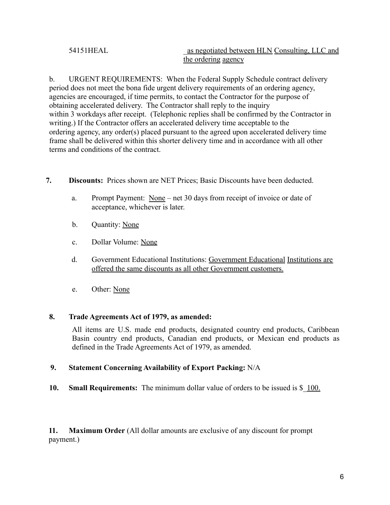#### 54151HEAL as negotiated between HLN Consulting, LLC and the ordering agency

b. URGENT REQUIREMENTS: When the Federal Supply Schedule contract delivery period does not meet the bona fide urgent delivery requirements of an ordering agency, agencies are encouraged, if time permits, to contact the Contractor for the purpose of obtaining accelerated delivery. The Contractor shall reply to the inquiry within 3 workdays after receipt. (Telephonic replies shall be confirmed by the Contractor in writing.) If the Contractor offers an accelerated delivery time acceptable to the ordering agency, any order(s) placed pursuant to the agreed upon accelerated delivery time frame shall be delivered within this shorter delivery time and in accordance with all other terms and conditions of the contract.

- **7. Discounts:** Prices shown are NET Prices; Basic Discounts have been deducted.
	- a. Prompt Payment: None net 30 days from receipt of invoice or date of acceptance, whichever is later.
	- b. Quantity: None
	- c. Dollar Volume: None
	- d. Government Educational Institutions: Government Educational Institutions are offered the same discounts as all other Government customers.
	- e. Other: None

#### **8. Trade Agreements Act of 1979, as amended:**

All items are U.S. made end products, designated country end products, Caribbean Basin country end products, Canadian end products, or Mexican end products as defined in the Trade Agreements Act of 1979, as amended.

#### **9. Statement Concerning Availability of Export Packing:** N/A

**10. Small Requirements:** The minimum dollar value of orders to be issued is \$\_100.

**11. Maximum Order** (All dollar amounts are exclusive of any discount for prompt payment.)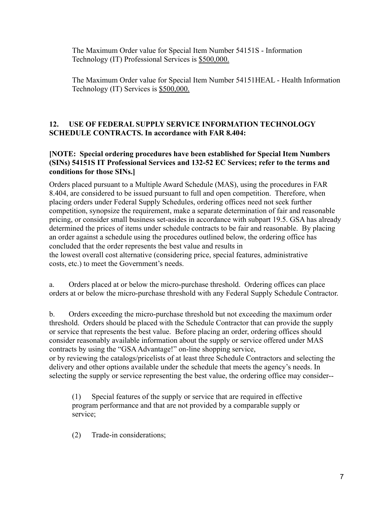The Maximum Order value for Special Item Number 54151S - Information Technology (IT) Professional Services is \$500,000.

The Maximum Order value for Special Item Number 54151HEAL - Health Information Technology (IT) Services is \$500,000.

## **12. USE OF FEDERAL SUPPLY SERVICE INFORMATION TECHNOLOGY SCHEDULE CONTRACTS. In accordance with FAR 8.404:**

#### **[NOTE: Special ordering procedures have been established for Special Item Numbers (SINs) 54151S IT Professional Services and 132-52 EC Services; refer to the terms and conditions for those SINs.]**

Orders placed pursuant to a Multiple Award Schedule (MAS), using the procedures in FAR 8.404, are considered to be issued pursuant to full and open competition. Therefore, when placing orders under Federal Supply Schedules, ordering offices need not seek further competition, synopsize the requirement, make a separate determination of fair and reasonable pricing, or consider small business set-asides in accordance with subpart 19.5. GSA has already determined the prices of items under schedule contracts to be fair and reasonable. By placing an order against a schedule using the procedures outlined below, the ordering office has concluded that the order represents the best value and results in the lowest overall cost alternative (considering price, special features, administrative costs, etc.) to meet the Government's needs.

a. Orders placed at or below the micro-purchase threshold. Ordering offices can place orders at or below the micro-purchase threshold with any Federal Supply Schedule Contractor.

b. Orders exceeding the micro-purchase threshold but not exceeding the maximum order threshold. Orders should be placed with the Schedule Contractor that can provide the supply or service that represents the best value. Before placing an order, ordering offices should consider reasonably available information about the supply or service offered under MAS contracts by using the "GSA Advantage!" on-line shopping service, or by reviewing the catalogs/pricelists of at least three Schedule Contractors and selecting the delivery and other options available under the schedule that meets the agency's needs. In selecting the supply or service representing the best value, the ordering office may consider--

(1) Special features of the supply or service that are required in effective program performance and that are not provided by a comparable supply or service;

(2) Trade-in considerations;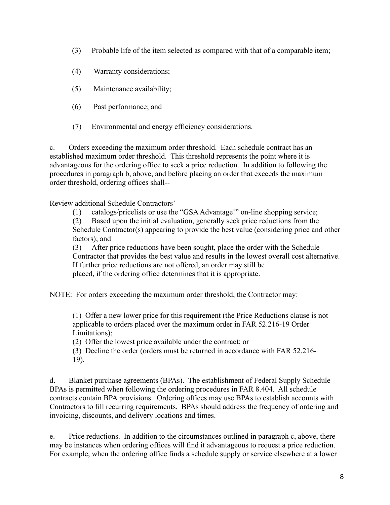- (3) Probable life of the item selected as compared with that of a comparable item;
- (4) Warranty considerations;
- (5) Maintenance availability;
- (6) Past performance; and
- (7) Environmental and energy efficiency considerations.

c. Orders exceeding the maximum order threshold. Each schedule contract has an established maximum order threshold. This threshold represents the point where it is advantageous for the ordering office to seek a price reduction. In addition to following the procedures in paragraph b, above, and before placing an order that exceeds the maximum order threshold, ordering offices shall--

Review additional Schedule Contractors'

(1) catalogs/pricelists or use the "GSA Advantage!" on-line shopping service;

(2) Based upon the initial evaluation, generally seek price reductions from the Schedule Contractor(s) appearing to provide the best value (considering price and other factors); and

(3) After price reductions have been sought, place the order with the Schedule Contractor that provides the best value and results in the lowest overall cost alternative. If further price reductions are not offered, an order may still be placed, if the ordering office determines that it is appropriate.

NOTE: For orders exceeding the maximum order threshold, the Contractor may:

(1) Offer a new lower price for this requirement (the Price Reductions clause is not applicable to orders placed over the maximum order in FAR 52.216-19 Order Limitations);

(2) Offer the lowest price available under the contract; or

(3) Decline the order (orders must be returned in accordance with FAR 52.216- 19).

d. Blanket purchase agreements (BPAs). The establishment of Federal Supply Schedule BPAs is permitted when following the ordering procedures in FAR 8.404. All schedule contracts contain BPA provisions. Ordering offices may use BPAs to establish accounts with Contractors to fill recurring requirements. BPAs should address the frequency of ordering and invoicing, discounts, and delivery locations and times.

e. Price reductions. In addition to the circumstances outlined in paragraph c, above, there may be instances when ordering offices will find it advantageous to request a price reduction. For example, when the ordering office finds a schedule supply or service elsewhere at a lower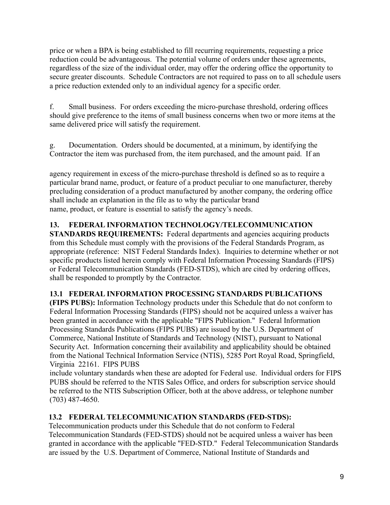price or when a BPA is being established to fill recurring requirements, requesting a price reduction could be advantageous. The potential volume of orders under these agreements, regardless of the size of the individual order, may offer the ordering office the opportunity to secure greater discounts. Schedule Contractors are not required to pass on to all schedule users a price reduction extended only to an individual agency for a specific order.

f. Small business. For orders exceeding the micro-purchase threshold, ordering offices should give preference to the items of small business concerns when two or more items at the same delivered price will satisfy the requirement.

g. Documentation. Orders should be documented, at a minimum, by identifying the Contractor the item was purchased from, the item purchased, and the amount paid. If an

agency requirement in excess of the micro-purchase threshold is defined so as to require a particular brand name, product, or feature of a product peculiar to one manufacturer, thereby precluding consideration of a product manufactured by another company, the ordering office shall include an explanation in the file as to why the particular brand name, product, or feature is essential to satisfy the agency's needs.

## **13. FEDERAL INFORMATION TECHNOLOGY/TELECOMMUNICATION**

**STANDARDS REQUIREMENTS:** Federal departments and agencies acquiring products from this Schedule must comply with the provisions of the Federal Standards Program, as appropriate (reference: NIST Federal Standards Index). Inquiries to determine whether or not specific products listed herein comply with Federal Information Processing Standards (FIPS) or Federal Telecommunication Standards (FED-STDS), which are cited by ordering offices, shall be responded to promptly by the Contractor.

## **13.1 FEDERAL INFORMATION PROCESSING STANDARDS PUBLICATIONS**

**(FIPS PUBS):** Information Technology products under this Schedule that do not conform to Federal Information Processing Standards (FIPS) should not be acquired unless a waiver has been granted in accordance with the applicable "FIPS Publication." Federal Information Processing Standards Publications (FIPS PUBS) are issued by the U.S. Department of Commerce, National Institute of Standards and Technology (NIST), pursuant to National Security Act. Information concerning their availability and applicability should be obtained from the National Technical Information Service (NTIS), 5285 Port Royal Road, Springfield, Virginia 22161. FIPS PUBS

include voluntary standards when these are adopted for Federal use. Individual orders for FIPS PUBS should be referred to the NTIS Sales Office, and orders for subscription service should be referred to the NTIS Subscription Officer, both at the above address, or telephone number (703) 487-4650.

## **13.2 FEDERAL TELECOMMUNICATION STANDARDS (FED-STDS):**

Telecommunication products under this Schedule that do not conform to Federal Telecommunication Standards (FED-STDS) should not be acquired unless a waiver has been granted in accordance with the applicable "FED-STD." Federal Telecommunication Standards are issued by the U.S. Department of Commerce, National Institute of Standards and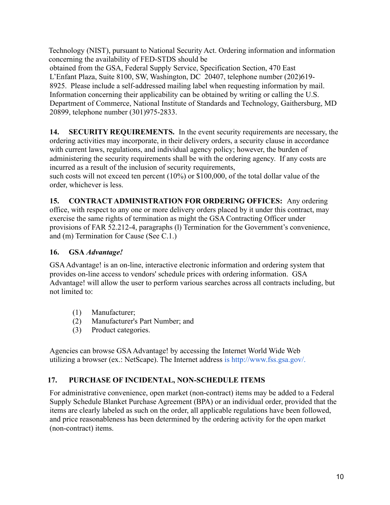Technology (NIST), pursuant to National Security Act. Ordering information and information concerning the availability of FED-STDS should be

obtained from the GSA, Federal Supply Service, Specification Section, 470 East L'Enfant Plaza, Suite 8100, SW, Washington, DC 20407, telephone number (202)619- 8925. Please include a self-addressed mailing label when requesting information by mail. Information concerning their applicability can be obtained by writing or calling the U.S. Department of Commerce, National Institute of Standards and Technology, Gaithersburg, MD 20899, telephone number (301)975-2833.

**14. SECURITY REQUIREMENTS.** In the event security requirements are necessary, the ordering activities may incorporate, in their delivery orders, a security clause in accordance with current laws, regulations, and individual agency policy; however, the burden of administering the security requirements shall be with the ordering agency. If any costs are incurred as a result of the inclusion of security requirements,

such costs will not exceed ten percent (10%) or \$100,000, of the total dollar value of the order, whichever is less.

**15. CONTRACT ADMINISTRATION FOR ORDERING OFFICES:** Any ordering office, with respect to any one or more delivery orders placed by it under this contract, may exercise the same rights of termination as might the GSA Contracting Officer under provisions of FAR 52.212-4, paragraphs (l) Termination for the Government's convenience, and (m) Termination for Cause (See C.1.)

## **16. GSA** *Advantage!*

GSAAdvantage! is an on-line, interactive electronic information and ordering system that provides on-line access to vendors' schedule prices with ordering information. GSA Advantage! will allow the user to perform various searches across all contracts including, but not limited to:

- (1) Manufacturer;
- (2) Manufacturer's Part Number; and
- (3) Product categories.

Agencies can browse GSA Advantage! by accessing the Internet World Wide Web utilizing a browser (ex.: NetScape). The Internet address [is http://www.fss.gsa.gov/.](http://www.fss.gsa.gov/)

## **17. PURCHASE OF INCIDENTAL, NON-SCHEDULE ITEMS**

For administrative convenience, open market (non-contract) items may be added to a Federal Supply Schedule Blanket Purchase Agreement (BPA) or an individual order, provided that the items are clearly labeled as such on the order, all applicable regulations have been followed, and price reasonableness has been determined by the ordering activity for the open market (non-contract) items.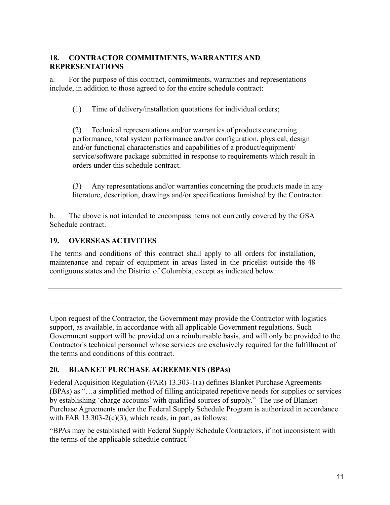## **18. CONTRACTOR COMMITMENTS, WARRANTIES AND REPRESENTATIONS**

a. For the purpose of this contract, commitments, warranties and representations include, in addition to those agreed to for the entire schedule contract:

(1) Time of delivery/installation quotations for individual orders;

(2) Technical representations and/or warranties of products concerning performance, total system performance and/or configuration, physical, design and/or functional characteristics and capabilities of a product/equipment/ service/software package submitted in response to requirements which result in orders under this schedule contract.

(3) Any representations and/or warranties concerning the products made in any literature, description, drawings and/or specifications furnished by the Contractor.

b. The above is not intended to encompass items not currently covered by the GSA Schedule contract.

## **19. OVERSEAS ACTIVITIES**

The terms and conditions of this contract shall apply to all orders for installation, maintenance and repair of equipment in areas listed in the pricelist outside the 48 contiguous states and the District of Columbia, except as indicated below:

Upon request of the Contractor, the Government may provide the Contractor with logistics support, as available, in accordance with all applicable Government regulations. Such Government support will be provided on a reimbursable basis, and will only be provided to the Contractor's technical personnel whose services are exclusively required for the fulfillment of the terms and conditions of this contract.

## **20. BLANKET PURCHASE AGREEMENTS (BPAs)**

Federal Acquisition Regulation (FAR) 13.303-1(a) defines Blanket Purchase Agreements (BPAs) as "…a simplified method of filling anticipated repetitive needs for supplies or services by establishing 'charge accounts' with qualified sources of supply." The use of Blanket Purchase Agreements under the Federal Supply Schedule Program is authorized in accordance with FAR  $13.303-2(c)(3)$ , which reads, in part, as follows:

"BPAs may be established with Federal Supply Schedule Contractors, if not inconsistent with the terms of the applicable schedule contract."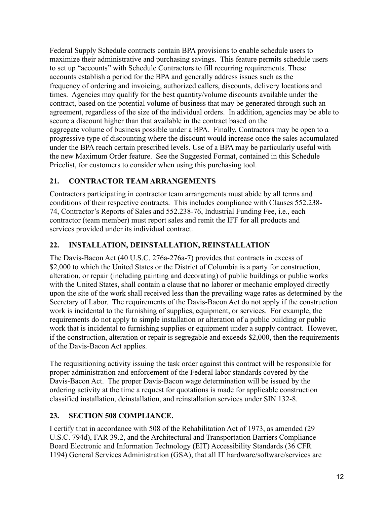Federal Supply Schedule contracts contain BPA provisions to enable schedule users to maximize their administrative and purchasing savings. This feature permits schedule users to set up "accounts" with Schedule Contractors to fill recurring requirements. These accounts establish a period for the BPA and generally address issues such as the frequency of ordering and invoicing, authorized callers, discounts, delivery locations and times. Agencies may qualify for the best quantity/volume discounts available under the contract, based on the potential volume of business that may be generated through such an agreement, regardless of the size of the individual orders. In addition, agencies may be able to secure a discount higher than that available in the contract based on the aggregate volume of business possible under a BPA. Finally, Contractors may be open to a progressive type of discounting where the discount would increase once the sales accumulated under the BPA reach certain prescribed levels. Use of a BPA may be particularly useful with the new Maximum Order feature. See the Suggested Format, contained in this Schedule Pricelist, for customers to consider when using this purchasing tool.

## **21. CONTRACTOR TEAM ARRANGEMENTS**

Contractors participating in contractor team arrangements must abide by all terms and conditions of their respective contracts. This includes compliance with Clauses 552.238- 74, Contractor's Reports of Sales and 552.238-76, Industrial Funding Fee, i.e., each contractor (team member) must report sales and remit the IFF for all products and services provided under its individual contract.

# **22. INSTALLATION, DEINSTALLATION, REINSTALLATION**

The Davis-Bacon Act (40 U.S.C. 276a-276a-7) provides that contracts in excess of \$2,000 to which the United States or the District of Columbia is a party for construction, alteration, or repair (including painting and decorating) of public buildings or public works with the United States, shall contain a clause that no laborer or mechanic employed directly upon the site of the work shall received less than the prevailing wage rates as determined by the Secretary of Labor. The requirements of the Davis-Bacon Act do not apply if the construction work is incidental to the furnishing of supplies, equipment, or services. For example, the requirements do not apply to simple installation or alteration of a public building or public work that is incidental to furnishing supplies or equipment under a supply contract. However, if the construction, alteration or repair is segregable and exceeds \$2,000, then the requirements of the Davis-Bacon Act applies.

The requisitioning activity issuing the task order against this contract will be responsible for proper administration and enforcement of the Federal labor standards covered by the Davis-Bacon Act. The proper Davis-Bacon wage determination will be issued by the ordering activity at the time a request for quotations is made for applicable construction classified installation, deinstallation, and reinstallation services under SIN 132-8.

## **23. SECTION 508 COMPLIANCE.**

I certify that in accordance with 508 of the Rehabilitation Act of 1973, as amended (29 U.S.C. 794d), FAR 39.2, and the Architectural and Transportation Barriers Compliance Board Electronic and Information Technology (EIT) Accessibility Standards (36 CFR 1194) General Services Administration (GSA), that all IT hardware/software/services are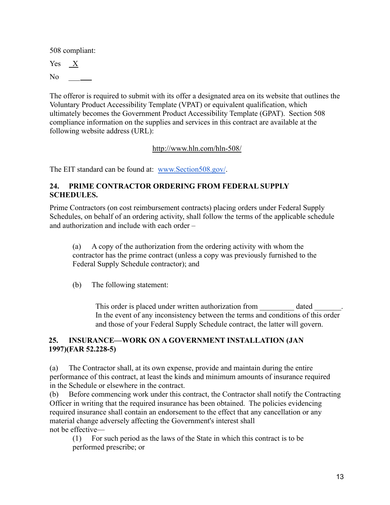508 compliant:

Yes X

 $No$ 

The offeror is required to submit with its offer a designated area on its website that outlines the Voluntary Product Accessibility Template (VPAT) or equivalent qualification, which ultimately becomes the Government Product Accessibility Template (GPAT). Section 508 compliance information on the supplies and services in this contract are available at the following website address (URL):

http://www.hln.com/hln-508/

The EIT standard can be found at: [www.Section508.gov/.](http://www.section508.gov/)

## **24. PRIME CONTRACTOR ORDERING FROM FEDERAL SUPPLY SCHEDULES.**

Prime Contractors (on cost reimbursement contracts) placing orders under Federal Supply Schedules, on behalf of an ordering activity, shall follow the terms of the applicable schedule and authorization and include with each order –

(a) A copy of the authorization from the ordering activity with whom the contractor has the prime contract (unless a copy was previously furnished to the Federal Supply Schedule contractor); and

(b) The following statement:

This order is placed under written authorization from dated In the event of any inconsistency between the terms and conditions of this order and those of your Federal Supply Schedule contract, the latter will govern.

## **25. INSURANCE—WORK ON A GOVERNMENT INSTALLATION (JAN 1997)(FAR 52.228-5)**

(a) The Contractor shall, at its own expense, provide and maintain during the entire performance of this contract, at least the kinds and minimum amounts of insurance required in the Schedule or elsewhere in the contract.

(b) Before commencing work under this contract, the Contractor shall notify the Contracting Officer in writing that the required insurance has been obtained. The policies evidencing required insurance shall contain an endorsement to the effect that any cancellation or any material change adversely affecting the Government's interest shall not be effective—

(1) For such period as the laws of the State in which this contract is to be performed prescribe; or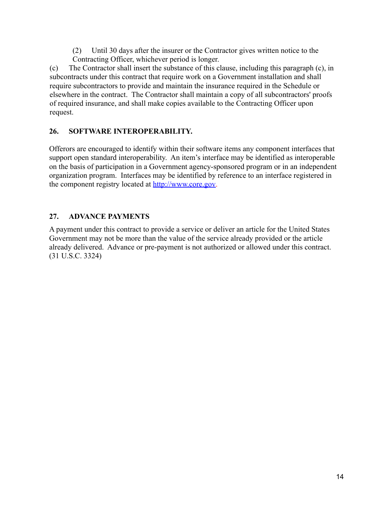(2) Until 30 days after the insurer or the Contractor gives written notice to the Contracting Officer, whichever period is longer.

(c) The Contractor shall insert the substance of this clause, including this paragraph (c), in subcontracts under this contract that require work on a Government installation and shall require subcontractors to provide and maintain the insurance required in the Schedule or elsewhere in the contract. The Contractor shall maintain a copy of all subcontractors' proofs of required insurance, and shall make copies available to the Contracting Officer upon request.

## **26. SOFTWARE INTEROPERABILITY.**

Offerors are encouraged to identify within their software items any component interfaces that support open standard interoperability. An item's interface may be identified as interoperable on the basis of participation in a Government agency-sponsored program or in an independent organization program. Interfaces may be identified by reference to an interface registered in the component registry located at [http://www.core.gov.](http://www.core.gov/)

## **27. ADVANCE PAYMENTS**

A payment under this contract to provide a service or deliver an article for the United States Government may not be more than the value of the service already provided or the article already delivered. Advance or pre-payment is not authorized or allowed under this contract. (31 U.S.C. 3324)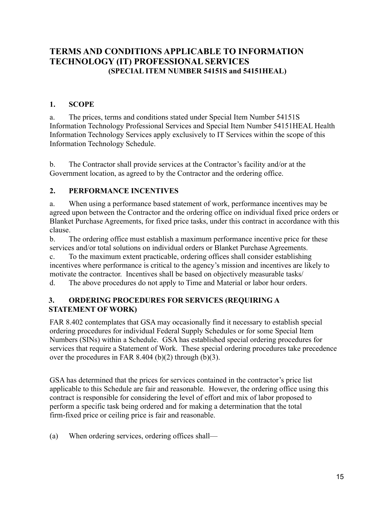# **TERMS AND CONDITIONS APPLICABLE TO INFORMATION TECHNOLOGY (IT) PROFESSIONAL SERVICES (SPECIAL ITEM NUMBER 54151S and 54151HEAL)**

## **1. SCOPE**

a. The prices, terms and conditions stated under Special Item Number 54151S Information Technology Professional Services and Special Item Number 54151HEAL Health Information Technology Services apply exclusively to IT Services within the scope of this Information Technology Schedule.

b. The Contractor shall provide services at the Contractor's facility and/or at the Government location, as agreed to by the Contractor and the ordering office.

## **2. PERFORMANCE INCENTIVES**

a. When using a performance based statement of work, performance incentives may be agreed upon between the Contractor and the ordering office on individual fixed price orders or Blanket Purchase Agreements, for fixed price tasks, under this contract in accordance with this clause.

b. The ordering office must establish a maximum performance incentive price for these services and/or total solutions on individual orders or Blanket Purchase Agreements.

c. To the maximum extent practicable, ordering offices shall consider establishing incentives where performance is critical to the agency's mission and incentives are likely to motivate the contractor. Incentives shall be based on objectively measurable tasks/ d. The above procedures do not apply to Time and Material or labor hour orders.

## **3. ORDERING PROCEDURES FOR SERVICES (REQUIRING A STATEMENT OF WORK)**

FAR 8.402 contemplates that GSA may occasionally find it necessary to establish special ordering procedures for individual Federal Supply Schedules or for some Special Item Numbers (SINs) within a Schedule. GSA has established special ordering procedures for services that require a Statement of Work. These special ordering procedures take precedence over the procedures in FAR 8.404 (b)(2) through (b)(3).

GSA has determined that the prices for services contained in the contractor's price list applicable to this Schedule are fair and reasonable. However, the ordering office using this contract is responsible for considering the level of effort and mix of labor proposed to perform a specific task being ordered and for making a determination that the total firm-fixed price or ceiling price is fair and reasonable.

(a) When ordering services, ordering offices shall—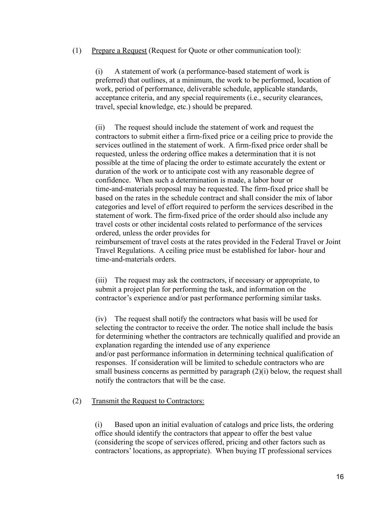#### (1) Prepare a Request (Request for Quote or other communication tool):

(i) A statement of work (a performance-based statement of work is preferred) that outlines, at a minimum, the work to be performed, location of work, period of performance, deliverable schedule, applicable standards, acceptance criteria, and any special requirements (i.e., security clearances, travel, special knowledge, etc.) should be prepared.

(ii) The request should include the statement of work and request the contractors to submit either a firm-fixed price or a ceiling price to provide the services outlined in the statement of work. A firm-fixed price order shall be requested, unless the ordering office makes a determination that it is not possible at the time of placing the order to estimate accurately the extent or duration of the work or to anticipate cost with any reasonable degree of confidence. When such a determination is made, a labor hour or time-and-materials proposal may be requested. The firm-fixed price shall be based on the rates in the schedule contract and shall consider the mix of labor categories and level of effort required to perform the services described in the statement of work. The firm-fixed price of the order should also include any travel costs or other incidental costs related to performance of the services ordered, unless the order provides for

reimbursement of travel costs at the rates provided in the Federal Travel or Joint Travel Regulations. A ceiling price must be established for labor- hour and time-and-materials orders.

(iii) The request may ask the contractors, if necessary or appropriate, to submit a project plan for performing the task, and information on the contractor's experience and/or past performance performing similar tasks.

(iv) The request shall notify the contractors what basis will be used for selecting the contractor to receive the order. The notice shall include the basis for determining whether the contractors are technically qualified and provide an explanation regarding the intended use of any experience and/or past performance information in determining technical qualification of responses. If consideration will be limited to schedule contractors who are small business concerns as permitted by paragraph (2)(i) below, the request shall notify the contractors that will be the case.

#### (2) Transmit the Request to Contractors:

(i) Based upon an initial evaluation of catalogs and price lists, the ordering office should identify the contractors that appear to offer the best value (considering the scope of services offered, pricing and other factors such as contractors' locations, as appropriate). When buying IT professional services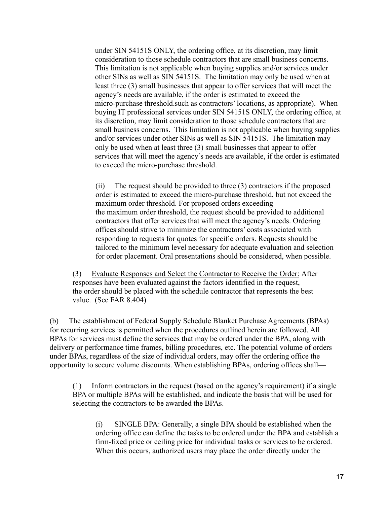under SIN 54151S ONLY, the ordering office, at its discretion, may limit consideration to those schedule contractors that are small business concerns. This limitation is not applicable when buying supplies and/or services under other SINs as well as SIN 54151S. The limitation may only be used when at least three (3) small businesses that appear to offer services that will meet the agency's needs are available, if the order is estimated to exceed the micro-purchase threshold.such as contractors' locations, as appropriate). When buying IT professional services under SIN 54151S ONLY, the ordering office, at its discretion, may limit consideration to those schedule contractors that are small business concerns. This limitation is not applicable when buying supplies and/or services under other SINs as well as SIN 54151S. The limitation may only be used when at least three (3) small businesses that appear to offer services that will meet the agency's needs are available, if the order is estimated to exceed the micro-purchase threshold.

(ii) The request should be provided to three (3) contractors if the proposed order is estimated to exceed the micro-purchase threshold, but not exceed the maximum order threshold. For proposed orders exceeding the maximum order threshold, the request should be provided to additional contractors that offer services that will meet the agency's needs. Ordering offices should strive to minimize the contractors' costs associated with responding to requests for quotes for specific orders. Requests should be tailored to the minimum level necessary for adequate evaluation and selection for order placement. Oral presentations should be considered, when possible.

(3) Evaluate Responses and Select the Contractor to Receive the Order: After responses have been evaluated against the factors identified in the request, the order should be placed with the schedule contractor that represents the best value. (See FAR 8.404)

(b) The establishment of Federal Supply Schedule Blanket Purchase Agreements (BPAs) for recurring services is permitted when the procedures outlined herein are followed. All BPAs for services must define the services that may be ordered under the BPA, along with delivery or performance time frames, billing procedures, etc. The potential volume of orders under BPAs, regardless of the size of individual orders, may offer the ordering office the opportunity to secure volume discounts. When establishing BPAs, ordering offices shall—

(1) Inform contractors in the request (based on the agency's requirement) if a single BPA or multiple BPAs will be established, and indicate the basis that will be used for selecting the contractors to be awarded the BPAs.

(i) SINGLE BPA: Generally, a single BPA should be established when the ordering office can define the tasks to be ordered under the BPA and establish a firm-fixed price or ceiling price for individual tasks or services to be ordered. When this occurs, authorized users may place the order directly under the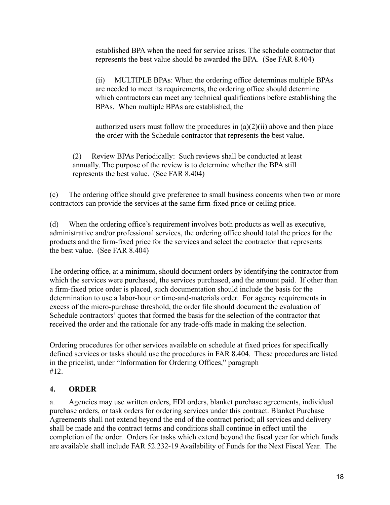established BPA when the need for service arises. The schedule contractor that represents the best value should be awarded the BPA. (See FAR 8.404)

(ii) MULTIPLE BPAs: When the ordering office determines multiple BPAs are needed to meet its requirements, the ordering office should determine which contractors can meet any technical qualifications before establishing the BPAs. When multiple BPAs are established, the

authorized users must follow the procedures in  $(a)(2)(ii)$  above and then place the order with the Schedule contractor that represents the best value.

(2) Review BPAs Periodically: Such reviews shall be conducted at least annually. The purpose of the review is to determine whether the BPA still represents the best value. (See FAR 8.404)

(c) The ordering office should give preference to small business concerns when two or more contractors can provide the services at the same firm-fixed price or ceiling price.

(d) When the ordering office's requirement involves both products as well as executive, administrative and/or professional services, the ordering office should total the prices for the products and the firm-fixed price for the services and select the contractor that represents the best value. (See FAR 8.404)

The ordering office, at a minimum, should document orders by identifying the contractor from which the services were purchased, the services purchased, and the amount paid. If other than a firm-fixed price order is placed, such documentation should include the basis for the determination to use a labor-hour or time-and-materials order. For agency requirements in excess of the micro-purchase threshold, the order file should document the evaluation of Schedule contractors' quotes that formed the basis for the selection of the contractor that received the order and the rationale for any trade-offs made in making the selection.

Ordering procedures for other services available on schedule at fixed prices for specifically defined services or tasks should use the procedures in FAR 8.404. These procedures are listed in the pricelist, under "Information for Ordering Offices," paragraph #12.

## **4. ORDER**

a. Agencies may use written orders, EDI orders, blanket purchase agreements, individual purchase orders, or task orders for ordering services under this contract. Blanket Purchase Agreements shall not extend beyond the end of the contract period; all services and delivery shall be made and the contract terms and conditions shall continue in effect until the completion of the order. Orders for tasks which extend beyond the fiscal year for which funds are available shall include FAR 52.232-19 Availability of Funds for the Next Fiscal Year. The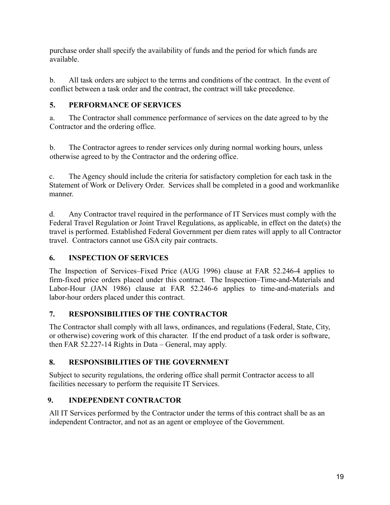purchase order shall specify the availability of funds and the period for which funds are available.

b. All task orders are subject to the terms and conditions of the contract. In the event of conflict between a task order and the contract, the contract will take precedence.

# **5. PERFORMANCE OF SERVICES**

a. The Contractor shall commence performance of services on the date agreed to by the Contractor and the ordering office.

b. The Contractor agrees to render services only during normal working hours, unless otherwise agreed to by the Contractor and the ordering office.

c. The Agency should include the criteria for satisfactory completion for each task in the Statement of Work or Delivery Order. Services shall be completed in a good and workmanlike manner.

d. Any Contractor travel required in the performance of IT Services must comply with the Federal Travel Regulation or Joint Travel Regulations, as applicable, in effect on the date(s) the travel is performed. Established Federal Government per diem rates will apply to all Contractor travel. Contractors cannot use GSA city pair contracts.

# **6. INSPECTION OF SERVICES**

The Inspection of Services–Fixed Price (AUG 1996) clause at FAR 52.246-4 applies to firm-fixed price orders placed under this contract. The Inspection–Time-and-Materials and Labor-Hour (JAN 1986) clause at FAR 52.246-6 applies to time-and-materials and labor-hour orders placed under this contract.

# **7. RESPONSIBILITIES OF THE CONTRACTOR**

The Contractor shall comply with all laws, ordinances, and regulations (Federal, State, City, or otherwise) covering work of this character. If the end product of a task order is software, then FAR 52.227-14 Rights in Data – General, may apply.

# **8. RESPONSIBILITIES OF THE GOVERNMENT**

Subject to security regulations, the ordering office shall permit Contractor access to all facilities necessary to perform the requisite IT Services.

# **9. INDEPENDENT CONTRACTOR**

All IT Services performed by the Contractor under the terms of this contract shall be as an independent Contractor, and not as an agent or employee of the Government.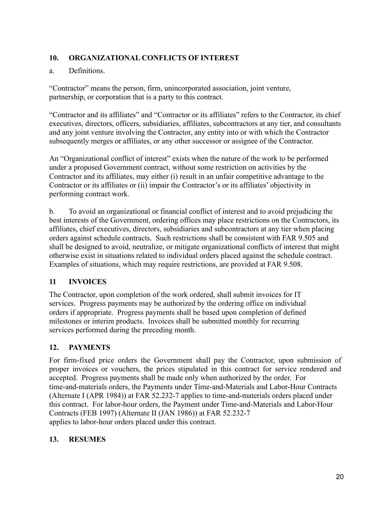## **10. ORGANIZATIONAL CONFLICTS OF INTEREST**

#### a. Definitions.

"Contractor" means the person, firm, unincorporated association, joint venture, partnership, or corporation that is a party to this contract.

"Contractor and its affiliates" and "Contractor or its affiliates" refers to the Contractor, its chief executives, directors, officers, subsidiaries, affiliates, subcontractors at any tier, and consultants and any joint venture involving the Contractor, any entity into or with which the Contractor subsequently merges or affiliates, or any other successor or assignee of the Contractor.

An "Organizational conflict of interest" exists when the nature of the work to be performed under a proposed Government contract, without some restriction on activities by the Contractor and its affiliates, may either (i) result in an unfair competitive advantage to the Contractor or its affiliates or (ii) impair the Contractor's or its affiliates' objectivity in performing contract work.

b. To avoid an organizational or financial conflict of interest and to avoid prejudicing the best interests of the Government, ordering offices may place restrictions on the Contractors, its affiliates, chief executives, directors, subsidiaries and subcontractors at any tier when placing orders against schedule contracts. Such restrictions shall be consistent with FAR 9.505 and shall be designed to avoid, neutralize, or mitigate organizational conflicts of interest that might otherwise exist in situations related to individual orders placed against the schedule contract. Examples of situations, which may require restrictions, are provided at FAR 9.508.

#### **11 INVOICES**

The Contractor, upon completion of the work ordered, shall submit invoices for IT services. Progress payments may be authorized by the ordering office on individual orders if appropriate. Progress payments shall be based upon completion of defined milestones or interim products. Invoices shall be submitted monthly for recurring services performed during the preceding month.

## **12. PAYMENTS**

For firm-fixed price orders the Government shall pay the Contractor, upon submission of proper invoices or vouchers, the prices stipulated in this contract for service rendered and accepted. Progress payments shall be made only when authorized by the order. For time-and-materials orders, the Payments under Time-and-Materials and Labor-Hour Contracts (Alternate I (APR 1984)) at FAR 52.232-7 applies to time-and-materials orders placed under this contract. For labor-hour orders, the Payment under Time-and-Materials and Labor-Hour Contracts (FEB 1997) (Alternate II (JAN 1986)) at FAR 52.232-7 applies to labor-hour orders placed under this contract.

#### **13. RESUMES**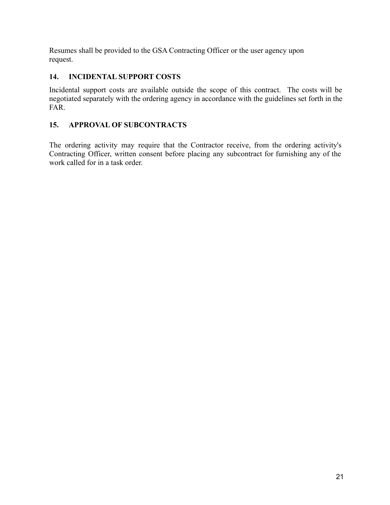Resumes shall be provided to the GSA Contracting Officer or the user agency upon request.

## **14. INCIDENTAL SUPPORT COSTS**

Incidental support costs are available outside the scope of this contract. The costs will be negotiated separately with the ordering agency in accordance with the guidelines set forth in the FAR.

## **15. APPROVAL OF SUBCONTRACTS**

The ordering activity may require that the Contractor receive, from the ordering activity's Contracting Officer, written consent before placing any subcontract for furnishing any of the work called for in a task order.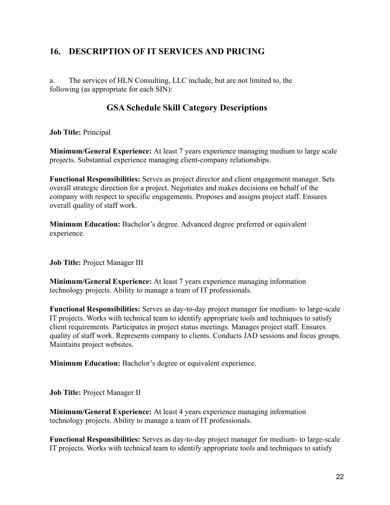# **16. DESCRIPTION OF IT SERVICES AND PRICING**

a. The services of HLN Consulting, LLC include, but are not limited to, the following (as appropriate for each SIN):

# **GSA Schedule Skill Category Descriptions**

**Job Title:** Principal

**Minimum/General Experience:** At least 7 years experience managing medium to large scale projects. Substantial experience managing client-company relationships.

**Functional Responsibilities:** Serves as project director and client engagement manager. Sets overall strategic direction for a project. Negotiates and makes decisions on behalf of the company with respect to specific engagements. Proposes and assigns project staff. Ensures overall quality of staff work.

**Minimum Education:** Bachelor's degree. Advanced degree preferred or equivalent experience.

**Job Title:** Project Manager III

**Minimum/General Experience:** At least 7 years experience managing information technology projects. Ability to manage a team of IT professionals.

**Functional Responsibilities:** Serves as day-to-day project manager for medium- to large-scale IT projects. Works with technical team to identify appropriate tools and techniques to satisfy client requirements. Participates in project status meetings. Manages project staff. Ensures quality of staff work. Represents company to clients. Conducts JAD sessions and focus groups. Maintains project websites.

**Minimum Education:** Bachelor's degree or equivalent experience.

**Job Title:** Project Manager II

**Minimum/General Experience:** At least 4 years experience managing information technology projects. Ability to manage a team of IT professionals.

**Functional Responsibilities:** Serves as day-to-day project manager for medium- to large-scale IT projects. Works with technical team to identify appropriate tools and techniques to satisfy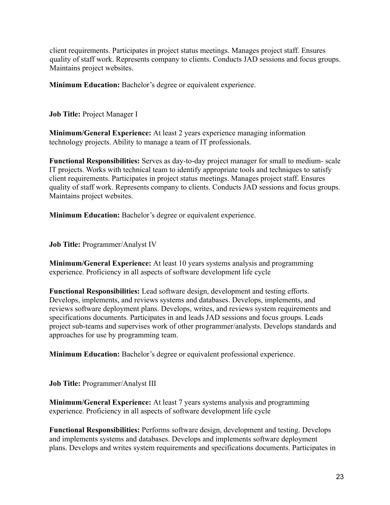client requirements. Participates in project status meetings. Manages project staff. Ensures quality of staff work. Represents company to clients. Conducts JAD sessions and focus groups. Maintains project websites.

**Minimum Education:** Bachelor's degree or equivalent experience.

**Job Title:** Project Manager I

**Minimum/General Experience:** At least 2 years experience managing information technology projects. Ability to manage a team of IT professionals.

**Functional Responsibilities:** Serves as day-to-day project manager for small to medium- scale IT projects. Works with technical team to identify appropriate tools and techniques to satisfy client requirements. Participates in project status meetings. Manages project staff. Ensures quality of staff work. Represents company to clients. Conducts JAD sessions and focus groups. Maintains project websites.

**Minimum Education:** Bachelor's degree or equivalent experience.

**Job Title:** Programmer/Analyst IV

**Minimum/General Experience:** At least 10 years systems analysis and programming experience. Proficiency in all aspects of software development life cycle

**Functional Responsibilities:** Lead software design, development and testing efforts. Develops, implements, and reviews systems and databases. Develops, implements, and reviews software deployment plans. Develops, writes, and reviews system requirements and specifications documents. Participates in and leads JAD sessions and focus groups. Leads project sub-teams and supervises work of other programmer/analysts. Develops standards and approaches for use by programming team.

**Minimum Education:** Bachelor's degree or equivalent professional experience.

**Job Title:** Programmer/Analyst III

**Minimum/General Experience:** At least 7 years systems analysis and programming experience. Proficiency in all aspects of software development life cycle

**Functional Responsibilities:** Performs software design, development and testing. Develops and implements systems and databases. Develops and implements software deployment plans. Develops and writes system requirements and specifications documents. Participates in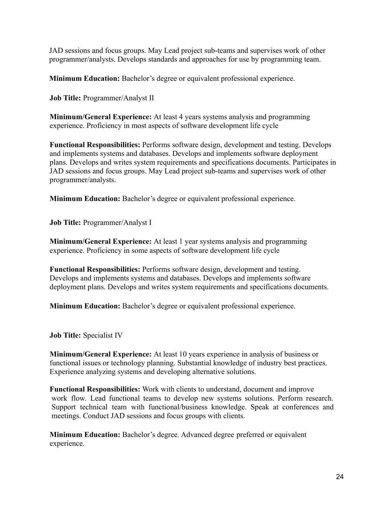JAD sessions and focus groups. May Lead project sub-teams and supervises work of other programmer/analysts. Develops standards and approaches for use by programming team.

**Minimum Education:** Bachelor's degree or equivalent professional experience.

**Job Title:** Programmer/Analyst II

**Minimum/General Experience:** At least 4 years systems analysis and programming experience. Proficiency in most aspects of software development life cycle

**Functional Responsibilities:** Performs software design, development and testing. Develops and implements systems and databases. Develops and implements software deployment plans. Develops and writes system requirements and specifications documents. Participates in JAD sessions and focus groups. May Lead project sub-teams and supervises work of other programmer/analysts.

**Minimum Education:** Bachelor's degree or equivalent professional experience.

**Job Title:** Programmer/Analyst I

**Minimum/General Experience:** At least 1 year systems analysis and programming experience. Proficiency in some aspects of software development life cycle

**Functional Responsibilities:** Performs software design, development and testing. Develops and implements systems and databases. Develops and implements software deployment plans. Develops and writes system requirements and specifications documents.

**Minimum Education:** Bachelor's degree or equivalent professional experience.

**Job Title:** Specialist IV

**Minimum/General Experience:** At least 10 years experience in analysis of business or functional issues or technology planning. Substantial knowledge of industry best practices. Experience analyzing systems and developing alternative solutions.

**Functional Responsibilities:** Work with clients to understand, document and improve work flow. Lead functional teams to develop new systems solutions. Perform research. Support technical team with functional/business knowledge. Speak at conferences and meetings. Conduct JAD sessions and focus groups with clients.

**Minimum Education:** Bachelor's degree. Advanced degree preferred or equivalent experience.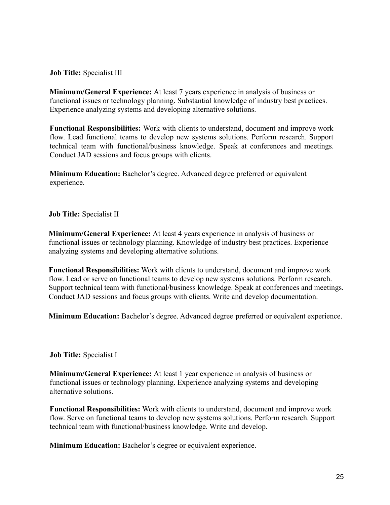**Job Title:** Specialist III

**Minimum/General Experience:** At least 7 years experience in analysis of business or functional issues or technology planning. Substantial knowledge of industry best practices. Experience analyzing systems and developing alternative solutions.

**Functional Responsibilities:** Work with clients to understand, document and improve work flow. Lead functional teams to develop new systems solutions. Perform research. Support technical team with functional/business knowledge. Speak at conferences and meetings. Conduct JAD sessions and focus groups with clients.

**Minimum Education:** Bachelor's degree. Advanced degree preferred or equivalent experience.

#### **Job Title:** Specialist II

**Minimum/General Experience:** At least 4 years experience in analysis of business or functional issues or technology planning. Knowledge of industry best practices. Experience analyzing systems and developing alternative solutions.

**Functional Responsibilities:** Work with clients to understand, document and improve work flow. Lead or serve on functional teams to develop new systems solutions. Perform research. Support technical team with functional/business knowledge. Speak at conferences and meetings. Conduct JAD sessions and focus groups with clients. Write and develop documentation.

**Minimum Education:** Bachelor's degree. Advanced degree preferred or equivalent experience.

#### **Job Title:** Specialist I

**Minimum/General Experience:** At least 1 year experience in analysis of business or functional issues or technology planning. Experience analyzing systems and developing alternative solutions.

**Functional Responsibilities:** Work with clients to understand, document and improve work flow. Serve on functional teams to develop new systems solutions. Perform research. Support technical team with functional/business knowledge. Write and develop.

**Minimum Education:** Bachelor's degree or equivalent experience.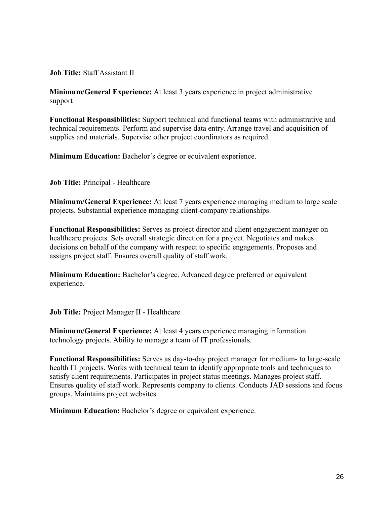**Job Title:** Staff Assistant II

**Minimum/General Experience:** At least 3 years experience in project administrative support

**Functional Responsibilities:** Support technical and functional teams with administrative and technical requirements. Perform and supervise data entry. Arrange travel and acquisition of supplies and materials. Supervise other project coordinators as required.

**Minimum Education:** Bachelor's degree or equivalent experience.

**Job Title:** Principal - Healthcare

**Minimum/General Experience:** At least 7 years experience managing medium to large scale projects. Substantial experience managing client-company relationships.

**Functional Responsibilities:** Serves as project director and client engagement manager on healthcare projects. Sets overall strategic direction for a project. Negotiates and makes decisions on behalf of the company with respect to specific engagements. Proposes and assigns project staff. Ensures overall quality of staff work.

**Minimum Education:** Bachelor's degree. Advanced degree preferred or equivalent experience.

**Job Title:** Project Manager II - Healthcare

**Minimum/General Experience:** At least 4 years experience managing information technology projects. Ability to manage a team of IT professionals.

**Functional Responsibilities:** Serves as day-to-day project manager for medium- to large-scale health IT projects. Works with technical team to identify appropriate tools and techniques to satisfy client requirements. Participates in project status meetings. Manages project staff. Ensures quality of staff work. Represents company to clients. Conducts JAD sessions and focus groups. Maintains project websites.

**Minimum Education:** Bachelor's degree or equivalent experience.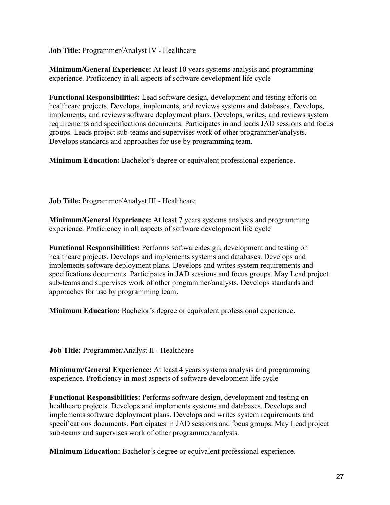**Job Title:** Programmer/Analyst IV - Healthcare

**Minimum/General Experience:** At least 10 years systems analysis and programming experience. Proficiency in all aspects of software development life cycle

**Functional Responsibilities:** Lead software design, development and testing efforts on healthcare projects. Develops, implements, and reviews systems and databases. Develops, implements, and reviews software deployment plans. Develops, writes, and reviews system requirements and specifications documents. Participates in and leads JAD sessions and focus groups. Leads project sub-teams and supervises work of other programmer/analysts. Develops standards and approaches for use by programming team.

**Minimum Education:** Bachelor's degree or equivalent professional experience.

**Job Title:** Programmer/Analyst III - Healthcare

**Minimum/General Experience:** At least 7 years systems analysis and programming experience. Proficiency in all aspects of software development life cycle

**Functional Responsibilities:** Performs software design, development and testing on healthcare projects. Develops and implements systems and databases. Develops and implements software deployment plans. Develops and writes system requirements and specifications documents. Participates in JAD sessions and focus groups. May Lead project sub-teams and supervises work of other programmer/analysts. Develops standards and approaches for use by programming team.

**Minimum Education:** Bachelor's degree or equivalent professional experience.

**Job Title:** Programmer/Analyst II - Healthcare

**Minimum/General Experience:** At least 4 years systems analysis and programming experience. Proficiency in most aspects of software development life cycle

**Functional Responsibilities:** Performs software design, development and testing on healthcare projects. Develops and implements systems and databases. Develops and implements software deployment plans. Develops and writes system requirements and specifications documents. Participates in JAD sessions and focus groups. May Lead project sub-teams and supervises work of other programmer/analysts.

**Minimum Education:** Bachelor's degree or equivalent professional experience.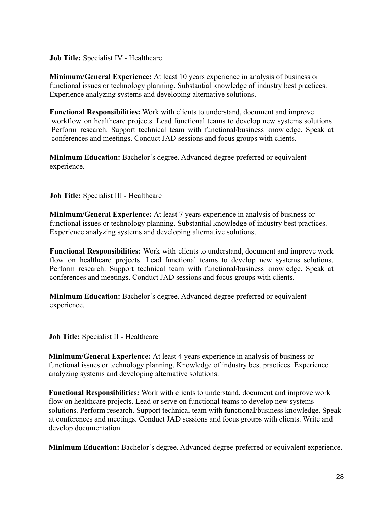#### **Job Title:** Specialist IV - Healthcare

**Minimum/General Experience:** At least 10 years experience in analysis of business or functional issues or technology planning. Substantial knowledge of industry best practices. Experience analyzing systems and developing alternative solutions.

**Functional Responsibilities:** Work with clients to understand, document and improve workflow on healthcare projects. Lead functional teams to develop new systems solutions. Perform research. Support technical team with functional/business knowledge. Speak at conferences and meetings. Conduct JAD sessions and focus groups with clients.

**Minimum Education:** Bachelor's degree. Advanced degree preferred or equivalent experience.

**Job Title:** Specialist III - Healthcare

**Minimum/General Experience:** At least 7 years experience in analysis of business or functional issues or technology planning. Substantial knowledge of industry best practices. Experience analyzing systems and developing alternative solutions.

**Functional Responsibilities:** Work with clients to understand, document and improve work flow on healthcare projects. Lead functional teams to develop new systems solutions. Perform research. Support technical team with functional/business knowledge. Speak at conferences and meetings. Conduct JAD sessions and focus groups with clients.

**Minimum Education:** Bachelor's degree. Advanced degree preferred or equivalent experience.

**Job Title:** Specialist II - Healthcare

**Minimum/General Experience:** At least 4 years experience in analysis of business or functional issues or technology planning. Knowledge of industry best practices. Experience analyzing systems and developing alternative solutions.

**Functional Responsibilities:** Work with clients to understand, document and improve work flow on healthcare projects. Lead or serve on functional teams to develop new systems solutions. Perform research. Support technical team with functional/business knowledge. Speak at conferences and meetings. Conduct JAD sessions and focus groups with clients. Write and develop documentation.

**Minimum Education:** Bachelor's degree. Advanced degree preferred or equivalent experience.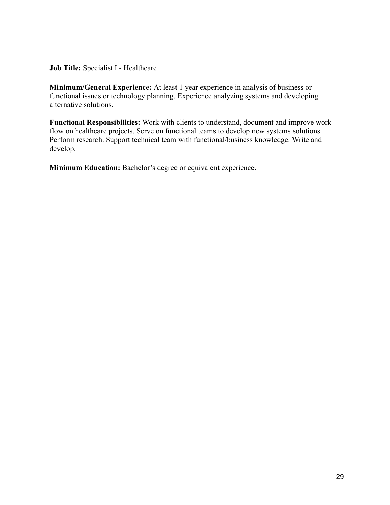**Job Title:** Specialist I - Healthcare

**Minimum/General Experience:** At least 1 year experience in analysis of business or functional issues or technology planning. Experience analyzing systems and developing alternative solutions.

**Functional Responsibilities:** Work with clients to understand, document and improve work flow on healthcare projects. Serve on functional teams to develop new systems solutions. Perform research. Support technical team with functional/business knowledge. Write and develop.

**Minimum Education:** Bachelor's degree or equivalent experience.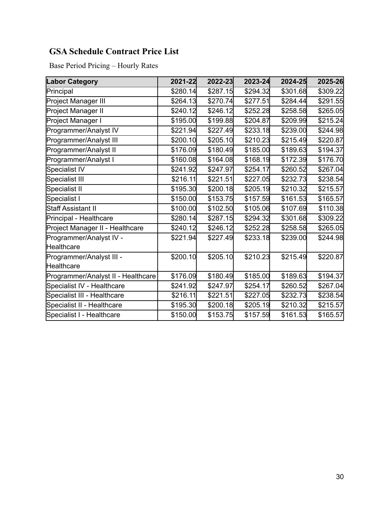# **GSA Schedule Contract Price List**

Base Period Pricing – Hourly Rates

| <b>Labor Category</b>              | 2021-22  | 2022-23  | 2023-24  | 2024-25  | 2025-26  |
|------------------------------------|----------|----------|----------|----------|----------|
| Principal                          | \$280.14 | \$287.15 | \$294.32 | \$301.68 | \$309.22 |
| Project Manager III                | \$264.13 | \$270.74 | \$277.51 | \$284.44 | \$291.55 |
| Project Manager II                 | \$240.12 | \$246.12 | \$252.28 | \$258.58 | \$265.05 |
| Project Manager I                  | \$195.00 | \$199.88 | \$204.87 | \$209.99 | \$215.24 |
| Programmer/Analyst IV              | \$221.94 | \$227.49 | \$233.18 | \$239.00 | \$244.98 |
| Programmer/Analyst III             | \$200.10 | \$205.10 | \$210.23 | \$215.49 | \$220.87 |
| Programmer/Analyst II              | \$176.09 | \$180.49 | \$185.00 | \$189.63 | \$194.37 |
| Programmer/Analyst I               | \$160.08 | \$164.08 | \$168.19 | \$172.39 | \$176.70 |
| Specialist IV                      | \$241.92 | \$247.97 | \$254.17 | \$260.52 | \$267.04 |
| Specialist III                     | \$216.11 | \$221.51 | \$227.05 | \$232.73 | \$238.54 |
| Specialist II                      | \$195.30 | \$200.18 | \$205.19 | \$210.32 | \$215.57 |
| Specialist I                       | \$150.00 | \$153.75 | \$157.59 | \$161.53 | \$165.57 |
| Staff Assistant II                 | \$100.00 | \$102.50 | \$105.06 | \$107.69 | \$110.38 |
| Principal - Healthcare             | \$280.14 | \$287.15 | \$294.32 | \$301.68 | \$309.22 |
| Project Manager II - Healthcare    | \$240.12 | \$246.12 | \$252.28 | \$258.58 | \$265.05 |
| Programmer/Analyst IV -            | \$221.94 | \$227.49 | \$233.18 | \$239.00 | \$244.98 |
| Healthcare                         |          |          |          |          |          |
| Programmer/Analyst III -           | \$200.10 | \$205.10 | \$210.23 | \$215.49 | \$220.87 |
| Healthcare                         |          |          |          |          |          |
| Programmer/Analyst II - Healthcare | \$176.09 | \$180.49 | \$185.00 | \$189.63 | \$194.37 |
| Specialist IV - Healthcare         | \$241.92 | \$247.97 | \$254.17 | \$260.52 | \$267.04 |
| Specialist III - Healthcare        | \$216.11 | \$221.51 | \$227.05 | \$232.73 | \$238.54 |
| Specialist II - Healthcare         | \$195.30 | \$200.18 | \$205.19 | \$210.32 | \$215.57 |
| Specialist I - Healthcare          | \$150.00 | \$153.75 | \$157.59 | \$161.53 | \$165.57 |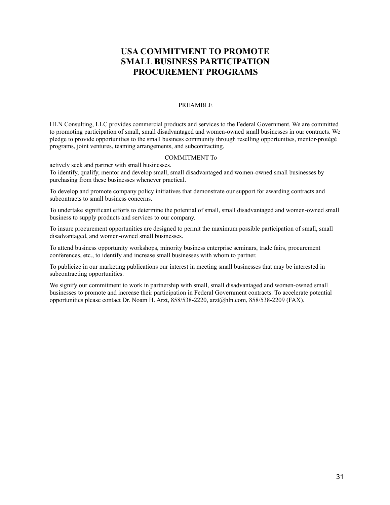# **USA COMMITMENT TO PROMOTE SMALL BUSINESS PARTICIPATION PROCUREMENT PROGRAMS**

#### PREAMBLE

HLN Consulting, LLC provides commercial products and services to the Federal Government. We are committed to promoting participation of small, small disadvantaged and women-owned small businesses in our contracts. We pledge to provide opportunities to the small business community through reselling opportunities, mentor-protégé programs, joint ventures, teaming arrangements, and subcontracting.

#### COMMITMENT To

actively seek and partner with small businesses.

To identify, qualify, mentor and develop small, small disadvantaged and women-owned small businesses by purchasing from these businesses whenever practical.

To develop and promote company policy initiatives that demonstrate our support for awarding contracts and subcontracts to small business concerns.

To undertake significant efforts to determine the potential of small, small disadvantaged and women-owned small business to supply products and services to our company.

To insure procurement opportunities are designed to permit the maximum possible participation of small, small disadvantaged, and women-owned small businesses.

To attend business opportunity workshops, minority business enterprise seminars, trade fairs, procurement conferences, etc., to identify and increase small businesses with whom to partner.

To publicize in our marketing publications our interest in meeting small businesses that may be interested in subcontracting opportunities.

We signify our commitment to work in partnership with small, small disadvantaged and women-owned small businesses to promote and increase their participation in Federal Government contracts. To accelerate potential opportunities please contact Dr. Noam H. Arzt, 858/538-2220, arzt@hln.com, 858/538-2209 (FAX).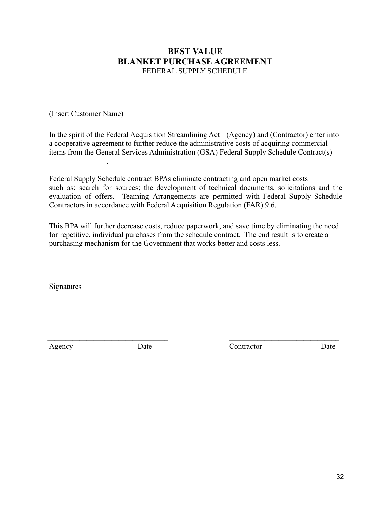## **BEST VALUE BLANKET PURCHASE AGREEMENT** FEDERAL SUPPLY SCHEDULE

(Insert Customer Name)

 $\frac{1}{2}$ 

In the spirit of the Federal Acquisition Streamlining Act (Agency) and (Contractor) enter into a cooperative agreement to further reduce the administrative costs of acquiring commercial items from the General Services Administration (GSA) Federal Supply Schedule Contract(s)

Federal Supply Schedule contract BPAs eliminate contracting and open market costs such as: search for sources; the development of technical documents, solicitations and the evaluation of offers. Teaming Arrangements are permitted with Federal Supply Schedule Contractors in accordance with Federal Acquisition Regulation (FAR) 9.6.

This BPA will further decrease costs, reduce paperwork, and save time by eliminating the need for repetitive, individual purchases from the schedule contract. The end result is to create a purchasing mechanism for the Government that works better and costs less.

 $\Box$ 

Signatures

Agency Date Date Contractor Date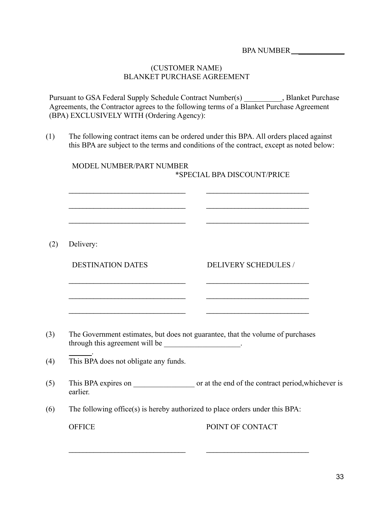BPA NUMBER \_\_\_\_\_\_\_\_\_\_\_\_

#### (CUSTOMER NAME) BLANKET PURCHASE AGREEMENT

Pursuant to GSA Federal Supply Schedule Contract Number(s) \_\_\_\_\_\_\_\_\_\_, Blanket Purchase Agreements, the Contractor agrees to the following terms of a Blanket Purchase Agreement (BPA) EXCLUSIVELY WITH (Ordering Agency):

(1) The following contract items can be ordered under this BPA. All orders placed against this BPA are subject to the terms and conditions of the contract, except as noted below:

MODEL NUMBER/PART NUMBER

\*SPECIAL BPA DISCOUNT/PRICE  $\_$  , and the set of the set of the set of the set of the set of the set of the set of the set of the set of the set of the set of the set of the set of the set of the set of the set of the set of the set of the set of th  $\_$  , and the state of the state of the state of the state of the state of the state of the state of the state of the state of the state of the state of the state of the state of the state of the state of the state of the  $\_$  , and the set of the set of the set of the set of the set of the set of the set of the set of the set of the set of the set of the set of the set of the set of the set of the set of the set of the set of the set of th (2) Delivery: DESTINATION DATES DELIVERY SCHEDULES /  $\_$  , and the set of the set of the set of the set of the set of the set of the set of the set of the set of the set of the set of the set of the set of the set of the set of the set of the set of the set of the set of th \_\_\_\_\_\_\_\_\_\_\_\_\_\_\_\_\_\_\_\_\_\_\_\_\_\_\_\_\_\_\_\_\_ \_\_\_\_\_\_\_\_\_\_\_\_\_\_\_\_\_\_\_\_\_\_\_\_\_\_\_\_\_ \_\_\_\_\_\_\_\_\_\_\_\_\_\_\_\_\_\_\_\_\_\_\_\_\_\_\_\_\_\_\_\_\_ \_\_\_\_\_\_\_\_\_\_\_\_\_\_\_\_\_\_\_\_\_\_\_\_\_\_\_\_\_ (3) The Government estimates, but does not guarantee, that the volume of purchases through this agreement will be \_\_\_\_\_\_\_\_\_\_\_\_\_\_\_\_\_\_. . (4) This BPA does not obligate any funds. (5) This BPA expires on or at the end of the contract period, whichever is earlier. (6) The following office(s) is hereby authorized to place orders under this BPA: OFFICE POINT OF CONTACT

\_\_\_\_\_\_\_\_\_\_\_\_\_\_\_\_\_\_\_\_\_\_\_\_\_\_\_\_\_\_\_\_\_ \_\_\_\_\_\_\_\_\_\_\_\_\_\_\_\_\_\_\_\_\_\_\_\_\_\_\_\_\_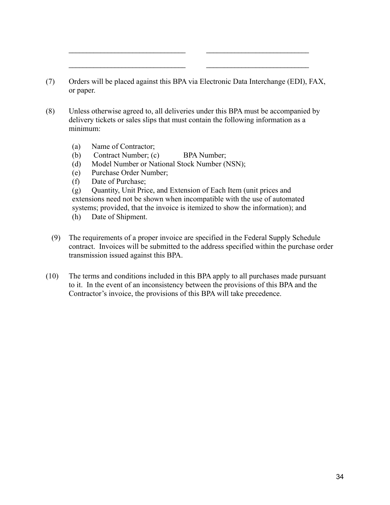(7) Orders will be placed against this BPA via Electronic Data Interchange (EDI), FAX, or paper.

 $\_$  , and the set of the set of the set of the set of the set of the set of the set of the set of the set of the set of the set of the set of the set of the set of the set of the set of the set of the set of the set of th

 $\_$  , and the state of the state of the state of the state of the state of the state of the state of the state of the state of the state of the state of the state of the state of the state of the state of the state of the

- (8) Unless otherwise agreed to, all deliveries under this BPA must be accompanied by delivery tickets or sales slips that must contain the following information as a minimum:
	- (a) Name of Contractor;
	- (b) Contract Number; (c) BPA Number;
	- (d) Model Number or National Stock Number (NSN);
	- (e) Purchase Order Number;
	- (f) Date of Purchase;

(g) Quantity, Unit Price, and Extension of Each Item (unit prices and extensions need not be shown when incompatible with the use of automated systems; provided, that the invoice is itemized to show the information); and

- (h) Date of Shipment.
- (9) The requirements of a proper invoice are specified in the Federal Supply Schedule contract. Invoices will be submitted to the address specified within the purchase order transmission issued against this BPA.
- (10) The terms and conditions included in this BPA apply to all purchases made pursuant to it. In the event of an inconsistency between the provisions of this BPA and the Contractor's invoice, the provisions of this BPA will take precedence.